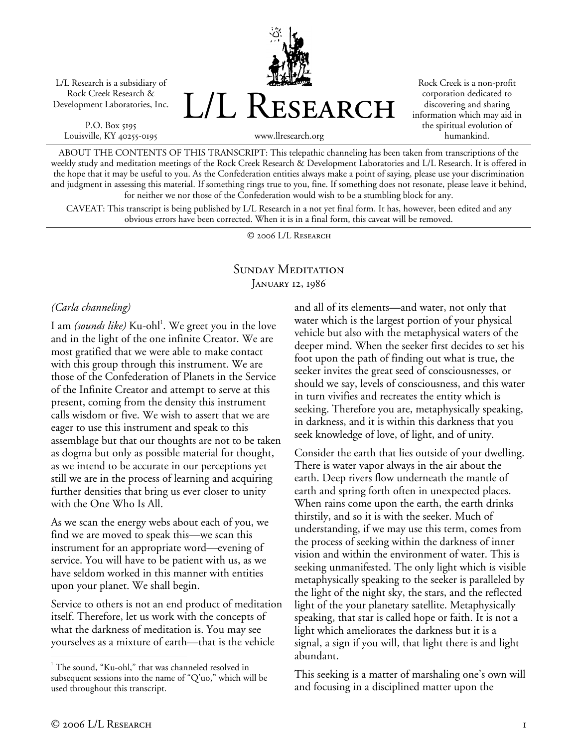L/L Research is a subsidiary of Rock Creek Research & Development Laboratories, Inc.

P.O. Box 5195 Louisville, KY 40255-0195 L/L Research

Rock Creek is a non-profit corporation dedicated to discovering and sharing information which may aid in the spiritual evolution of humankind.

www.llresearch.org

ABOUT THE CONTENTS OF THIS TRANSCRIPT: This telepathic channeling has been taken from transcriptions of the weekly study and meditation meetings of the Rock Creek Research & Development Laboratories and L/L Research. It is offered in the hope that it may be useful to you. As the Confederation entities always make a point of saying, please use your discrimination and judgment in assessing this material. If something rings true to you, fine. If something does not resonate, please leave it behind, for neither we nor those of the Confederation would wish to be a stumbling block for any.

CAVEAT: This transcript is being published by L/L Research in a not yet final form. It has, however, been edited and any obvious errors have been corrected. When it is in a final form, this caveat will be removed.

© 2006 L/L Research

#### SUNDAY MEDITATION JANUARY 12, 1986

#### *(Carla channeling)*

I am *(sounds like)* Ku-ohl<sup>1</sup>. We greet you in the love and in the light of the one infinite Creator. We are most gratified that we were able to make contact with this group through this instrument. We are those of the Confederation of Planets in the Service of the Infinite Creator and attempt to serve at this present, coming from the density this instrument calls wisdom or five. We wish to assert that we are eager to use this instrument and speak to this assemblage but that our thoughts are not to be taken as dogma but only as possible material for thought, as we intend to be accurate in our perceptions yet still we are in the process of learning and acquiring further densities that bring us ever closer to unity with the One Who Is All.

As we scan the energy webs about each of you, we find we are moved to speak this—we scan this instrument for an appropriate word—evening of service. You will have to be patient with us, as we have seldom worked in this manner with entities upon your planet. We shall begin.

Service to others is not an end product of meditation itself. Therefore, let us work with the concepts of what the darkness of meditation is. You may see yourselves as a mixture of earth—that is the vehicle

and all of its elements—and water, not only that water which is the largest portion of your physical vehicle but also with the metaphysical waters of the deeper mind. When the seeker first decides to set his foot upon the path of finding out what is true, the seeker invites the great seed of consciousnesses, or should we say, levels of consciousness, and this water in turn vivifies and recreates the entity which is seeking. Therefore you are, metaphysically speaking, in darkness, and it is within this darkness that you seek knowledge of love, of light, and of unity.

Consider the earth that lies outside of your dwelling. There is water vapor always in the air about the earth. Deep rivers flow underneath the mantle of earth and spring forth often in unexpected places. When rains come upon the earth, the earth drinks thirstily, and so it is with the seeker. Much of understanding, if we may use this term, comes from the process of seeking within the darkness of inner vision and within the environment of water. This is seeking unmanifested. The only light which is visible metaphysically speaking to the seeker is paralleled by the light of the night sky, the stars, and the reflected light of the your planetary satellite. Metaphysically speaking, that star is called hope or faith. It is not a light which ameliorates the darkness but it is a signal, a sign if you will, that light there is and light abundant.

This seeking is a matter of marshaling one's own will and focusing in a disciplined matter upon the

1

<sup>&</sup>lt;sup>1</sup> The sound, "Ku-ohl," that was channeled resolved in subsequent sessions into the name of "Q'uo," which will be used throughout this transcript.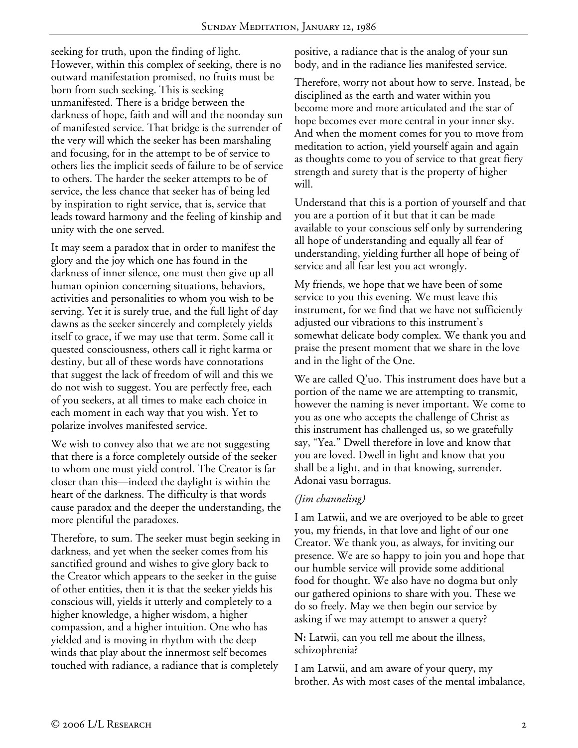seeking for truth, upon the finding of light. However, within this complex of seeking, there is no outward manifestation promised, no fruits must be born from such seeking. This is seeking unmanifested. There is a bridge between the darkness of hope, faith and will and the noonday sun of manifested service. That bridge is the surrender of the very will which the seeker has been marshaling and focusing, for in the attempt to be of service to others lies the implicit seeds of failure to be of service to others. The harder the seeker attempts to be of service, the less chance that seeker has of being led by inspiration to right service, that is, service that leads toward harmony and the feeling of kinship and unity with the one served.

It may seem a paradox that in order to manifest the glory and the joy which one has found in the darkness of inner silence, one must then give up all human opinion concerning situations, behaviors, activities and personalities to whom you wish to be serving. Yet it is surely true, and the full light of day dawns as the seeker sincerely and completely yields itself to grace, if we may use that term. Some call it quested consciousness, others call it right karma or destiny, but all of these words have connotations that suggest the lack of freedom of will and this we do not wish to suggest. You are perfectly free, each of you seekers, at all times to make each choice in each moment in each way that you wish. Yet to polarize involves manifested service.

We wish to convey also that we are not suggesting that there is a force completely outside of the seeker to whom one must yield control. The Creator is far closer than this—indeed the daylight is within the heart of the darkness. The difficulty is that words cause paradox and the deeper the understanding, the more plentiful the paradoxes.

Therefore, to sum. The seeker must begin seeking in darkness, and yet when the seeker comes from his sanctified ground and wishes to give glory back to the Creator which appears to the seeker in the guise of other entities, then it is that the seeker yields his conscious will, yields it utterly and completely to a higher knowledge, a higher wisdom, a higher compassion, and a higher intuition. One who has yielded and is moving in rhythm with the deep winds that play about the innermost self becomes touched with radiance, a radiance that is completely

positive, a radiance that is the analog of your sun body, and in the radiance lies manifested service.

Therefore, worry not about how to serve. Instead, be disciplined as the earth and water within you become more and more articulated and the star of hope becomes ever more central in your inner sky. And when the moment comes for you to move from meditation to action, yield yourself again and again as thoughts come to you of service to that great fiery strength and surety that is the property of higher will.

Understand that this is a portion of yourself and that you are a portion of it but that it can be made available to your conscious self only by surrendering all hope of understanding and equally all fear of understanding, yielding further all hope of being of service and all fear lest you act wrongly.

My friends, we hope that we have been of some service to you this evening. We must leave this instrument, for we find that we have not sufficiently adjusted our vibrations to this instrument's somewhat delicate body complex. We thank you and praise the present moment that we share in the love and in the light of the One.

We are called Q'uo. This instrument does have but a portion of the name we are attempting to transmit, however the naming is never important. We come to you as one who accepts the challenge of Christ as this instrument has challenged us, so we gratefully say, "Yea." Dwell therefore in love and know that you are loved. Dwell in light and know that you shall be a light, and in that knowing, surrender. Adonai vasu borragus.

## *(Jim channeling)*

I am Latwii, and we are overjoyed to be able to greet you, my friends, in that love and light of our one Creator. We thank you, as always, for inviting our presence. We are so happy to join you and hope that our humble service will provide some additional food for thought. We also have no dogma but only our gathered opinions to share with you. These we do so freely. May we then begin our service by asking if we may attempt to answer a query?

**N:** Latwii, can you tell me about the illness, schizophrenia?

I am Latwii, and am aware of your query, my brother. As with most cases of the mental imbalance,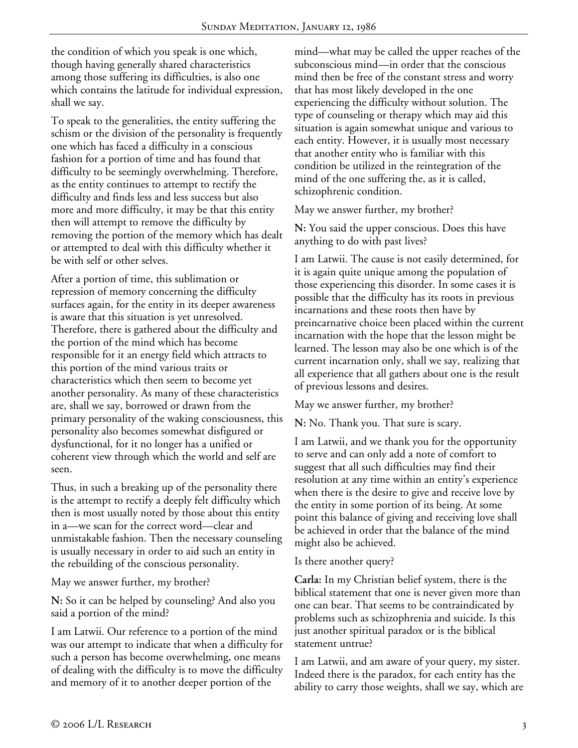the condition of which you speak is one which, though having generally shared characteristics among those suffering its difficulties, is also one which contains the latitude for individual expression, shall we say.

To speak to the generalities, the entity suffering the schism or the division of the personality is frequently one which has faced a difficulty in a conscious fashion for a portion of time and has found that difficulty to be seemingly overwhelming. Therefore, as the entity continues to attempt to rectify the difficulty and finds less and less success but also more and more difficulty, it may be that this entity then will attempt to remove the difficulty by removing the portion of the memory which has dealt or attempted to deal with this difficulty whether it be with self or other selves.

After a portion of time, this sublimation or repression of memory concerning the difficulty surfaces again, for the entity in its deeper awareness is aware that this situation is yet unresolved. Therefore, there is gathered about the difficulty and the portion of the mind which has become responsible for it an energy field which attracts to this portion of the mind various traits or characteristics which then seem to become yet another personality. As many of these characteristics are, shall we say, borrowed or drawn from the primary personality of the waking consciousness, this personality also becomes somewhat disfigured or dysfunctional, for it no longer has a unified or coherent view through which the world and self are seen.

Thus, in such a breaking up of the personality there is the attempt to rectify a deeply felt difficulty which then is most usually noted by those about this entity in a—we scan for the correct word—clear and unmistakable fashion. Then the necessary counseling is usually necessary in order to aid such an entity in the rebuilding of the conscious personality.

May we answer further, my brother?

**N:** So it can be helped by counseling? And also you said a portion of the mind?

I am Latwii. Our reference to a portion of the mind was our attempt to indicate that when a difficulty for such a person has become overwhelming, one means of dealing with the difficulty is to move the difficulty and memory of it to another deeper portion of the

mind—what may be called the upper reaches of the subconscious mind—in order that the conscious mind then be free of the constant stress and worry that has most likely developed in the one experiencing the difficulty without solution. The type of counseling or therapy which may aid this situation is again somewhat unique and various to each entity. However, it is usually most necessary that another entity who is familiar with this condition be utilized in the reintegration of the mind of the one suffering the, as it is called, schizophrenic condition.

May we answer further, my brother?

**N:** You said the upper conscious. Does this have anything to do with past lives?

I am Latwii. The cause is not easily determined, for it is again quite unique among the population of those experiencing this disorder. In some cases it is possible that the difficulty has its roots in previous incarnations and these roots then have by preincarnative choice been placed within the current incarnation with the hope that the lesson might be learned. The lesson may also be one which is of the current incarnation only, shall we say, realizing that all experience that all gathers about one is the result of previous lessons and desires.

May we answer further, my brother?

**N:** No. Thank you. That sure is scary.

I am Latwii, and we thank you for the opportunity to serve and can only add a note of comfort to suggest that all such difficulties may find their resolution at any time within an entity's experience when there is the desire to give and receive love by the entity in some portion of its being. At some point this balance of giving and receiving love shall be achieved in order that the balance of the mind might also be achieved.

Is there another query?

**Carla:** In my Christian belief system, there is the biblical statement that one is never given more than one can bear. That seems to be contraindicated by problems such as schizophrenia and suicide. Is this just another spiritual paradox or is the biblical statement untrue?

I am Latwii, and am aware of your query, my sister. Indeed there is the paradox, for each entity has the ability to carry those weights, shall we say, which are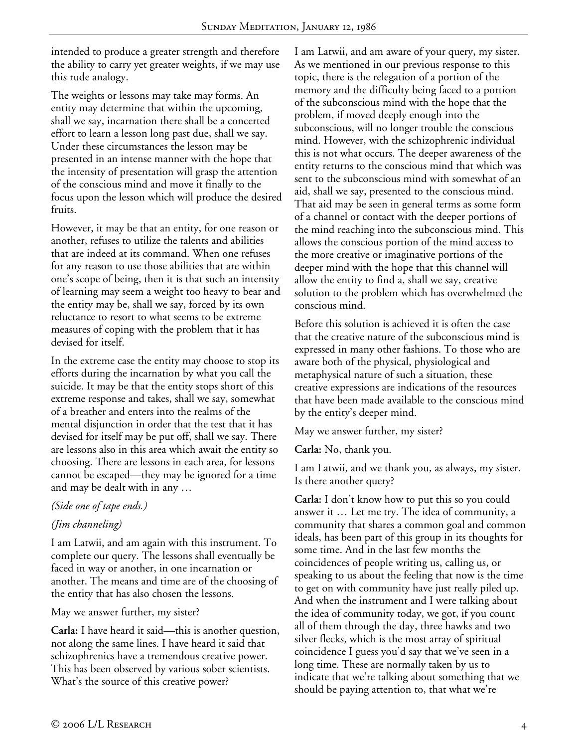intended to produce a greater strength and therefore the ability to carry yet greater weights, if we may use this rude analogy.

The weights or lessons may take may forms. An entity may determine that within the upcoming, shall we say, incarnation there shall be a concerted effort to learn a lesson long past due, shall we say. Under these circumstances the lesson may be presented in an intense manner with the hope that the intensity of presentation will grasp the attention of the conscious mind and move it finally to the focus upon the lesson which will produce the desired fruits.

However, it may be that an entity, for one reason or another, refuses to utilize the talents and abilities that are indeed at its command. When one refuses for any reason to use those abilities that are within one's scope of being, then it is that such an intensity of learning may seem a weight too heavy to bear and the entity may be, shall we say, forced by its own reluctance to resort to what seems to be extreme measures of coping with the problem that it has devised for itself.

In the extreme case the entity may choose to stop its efforts during the incarnation by what you call the suicide. It may be that the entity stops short of this extreme response and takes, shall we say, somewhat of a breather and enters into the realms of the mental disjunction in order that the test that it has devised for itself may be put off, shall we say. There are lessons also in this area which await the entity so choosing. There are lessons in each area, for lessons cannot be escaped—they may be ignored for a time and may be dealt with in any …

## *(Side one of tape ends.)*

## *(Jim channeling)*

I am Latwii, and am again with this instrument. To complete our query. The lessons shall eventually be faced in way or another, in one incarnation or another. The means and time are of the choosing of the entity that has also chosen the lessons.

May we answer further, my sister?

**Carla:** I have heard it said—this is another question, not along the same lines. I have heard it said that schizophrenics have a tremendous creative power. This has been observed by various sober scientists. What's the source of this creative power?

I am Latwii, and am aware of your query, my sister. As we mentioned in our previous response to this topic, there is the relegation of a portion of the memory and the difficulty being faced to a portion of the subconscious mind with the hope that the problem, if moved deeply enough into the subconscious, will no longer trouble the conscious mind. However, with the schizophrenic individual this is not what occurs. The deeper awareness of the entity returns to the conscious mind that which was sent to the subconscious mind with somewhat of an aid, shall we say, presented to the conscious mind. That aid may be seen in general terms as some form of a channel or contact with the deeper portions of the mind reaching into the subconscious mind. This allows the conscious portion of the mind access to the more creative or imaginative portions of the deeper mind with the hope that this channel will allow the entity to find a, shall we say, creative solution to the problem which has overwhelmed the conscious mind.

Before this solution is achieved it is often the case that the creative nature of the subconscious mind is expressed in many other fashions. To those who are aware both of the physical, physiological and metaphysical nature of such a situation, these creative expressions are indications of the resources that have been made available to the conscious mind by the entity's deeper mind.

May we answer further, my sister?

**Carla:** No, thank you.

I am Latwii, and we thank you, as always, my sister. Is there another query?

**Carla:** I don't know how to put this so you could answer it … Let me try. The idea of community, a community that shares a common goal and common ideals, has been part of this group in its thoughts for some time. And in the last few months the coincidences of people writing us, calling us, or speaking to us about the feeling that now is the time to get on with community have just really piled up. And when the instrument and I were talking about the idea of community today, we got, if you count all of them through the day, three hawks and two silver flecks, which is the most array of spiritual coincidence I guess you'd say that we've seen in a long time. These are normally taken by us to indicate that we're talking about something that we should be paying attention to, that what we're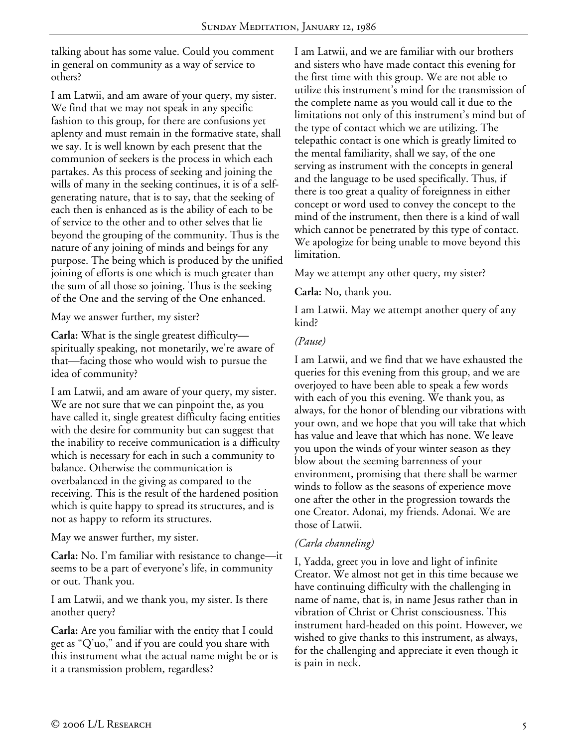talking about has some value. Could you comment in general on community as a way of service to others?

I am Latwii, and am aware of your query, my sister. We find that we may not speak in any specific fashion to this group, for there are confusions yet aplenty and must remain in the formative state, shall we say. It is well known by each present that the communion of seekers is the process in which each partakes. As this process of seeking and joining the wills of many in the seeking continues, it is of a selfgenerating nature, that is to say, that the seeking of each then is enhanced as is the ability of each to be of service to the other and to other selves that lie beyond the grouping of the community. Thus is the nature of any joining of minds and beings for any purpose. The being which is produced by the unified joining of efforts is one which is much greater than the sum of all those so joining. Thus is the seeking of the One and the serving of the One enhanced.

May we answer further, my sister?

**Carla:** What is the single greatest difficulty spiritually speaking, not monetarily, we're aware of that—facing those who would wish to pursue the idea of community?

I am Latwii, and am aware of your query, my sister. We are not sure that we can pinpoint the, as you have called it, single greatest difficulty facing entities with the desire for community but can suggest that the inability to receive communication is a difficulty which is necessary for each in such a community to balance. Otherwise the communication is overbalanced in the giving as compared to the receiving. This is the result of the hardened position which is quite happy to spread its structures, and is not as happy to reform its structures.

May we answer further, my sister.

**Carla:** No. I'm familiar with resistance to change—it seems to be a part of everyone's life, in community or out. Thank you.

I am Latwii, and we thank you, my sister. Is there another query?

**Carla:** Are you familiar with the entity that I could get as "Q'uo," and if you are could you share with this instrument what the actual name might be or is it a transmission problem, regardless?

I am Latwii, and we are familiar with our brothers and sisters who have made contact this evening for the first time with this group. We are not able to utilize this instrument's mind for the transmission of the complete name as you would call it due to the limitations not only of this instrument's mind but of the type of contact which we are utilizing. The telepathic contact is one which is greatly limited to the mental familiarity, shall we say, of the one serving as instrument with the concepts in general and the language to be used specifically. Thus, if there is too great a quality of foreignness in either concept or word used to convey the concept to the mind of the instrument, then there is a kind of wall which cannot be penetrated by this type of contact. We apologize for being unable to move beyond this limitation.

May we attempt any other query, my sister?

**Carla:** No, thank you.

I am Latwii. May we attempt another query of any kind?

## *(Pause)*

I am Latwii, and we find that we have exhausted the queries for this evening from this group, and we are overjoyed to have been able to speak a few words with each of you this evening. We thank you, as always, for the honor of blending our vibrations with your own, and we hope that you will take that which has value and leave that which has none. We leave you upon the winds of your winter season as they blow about the seeming barrenness of your environment, promising that there shall be warmer winds to follow as the seasons of experience move one after the other in the progression towards the one Creator. Adonai, my friends. Adonai. We are those of Latwii.

# *(Carla channeling)*

I, Yadda, greet you in love and light of infinite Creator. We almost not get in this time because we have continuing difficulty with the challenging in name of name, that is, in name Jesus rather than in vibration of Christ or Christ consciousness. This instrument hard-headed on this point. However, we wished to give thanks to this instrument, as always, for the challenging and appreciate it even though it is pain in neck.